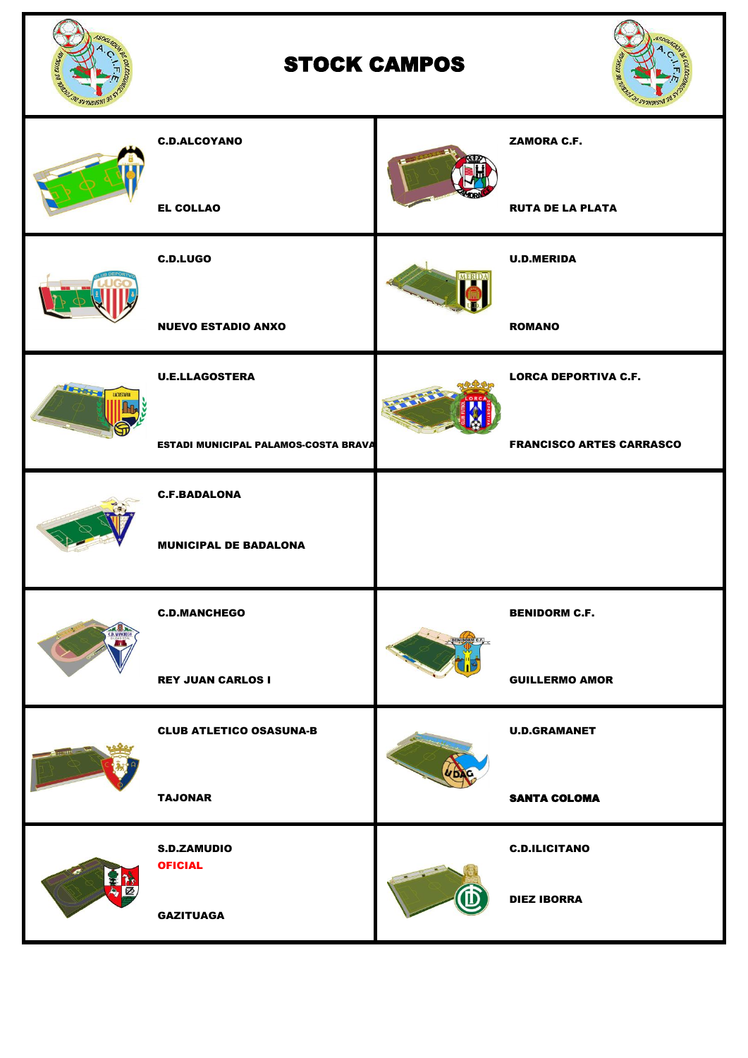

## STOCK CAMPOS



|                              | <b>C.D.ALCOYANO</b>                         |                | <b>ZAMORA C.F.</b>              |
|------------------------------|---------------------------------------------|----------------|---------------------------------|
|                              | <b>EL COLLAO</b>                            |                | <b>RUTA DE LA PLATA</b>         |
|                              | <b>C.D.LUGO</b>                             | MERIDA         | <b>U.D.MERIDA</b>               |
|                              | <b>NUEVO ESTADIO ANXO</b>                   |                | <b>ROMANO</b>                   |
| <b>Taskets</b><br>LACUSTARIA | <b>U.E.LLAGOSTERA</b>                       | <b>PARTIES</b> | <b>LORCA DEPORTIVA C.F.</b>     |
|                              | <b>ESTADI MUNICIPAL PALAMOS-COSTA BRAVA</b> |                | <b>FRANCISCO ARTES CARRASCO</b> |
|                              | <b>C.F.BADALONA</b>                         |                |                                 |
|                              | <b>MUNICIPAL DE BADALONA</b>                |                |                                 |
|                              | <b>C.D.MANCHEGO</b>                         |                | <b>BENIDORM C.F.</b>            |
|                              | <b>REY JUAN CARLOS I</b>                    |                | <b>GUILLERMO AMOR</b>           |
|                              | <b>CLUB ATLETICO OSASUNA-B</b>              |                | <b>U.D.GRAMANET</b>             |
|                              | <b>TAJONAR</b>                              |                | <b>SANTA COLOMA</b>             |
|                              | <b>S.D.ZAMUDIO</b><br><b>OFICIAL</b>        |                | <b>C.D.ILICITANO</b>            |
|                              | <b>GAZITUAGA</b>                            |                | <b>DIEZ IBORRA</b>              |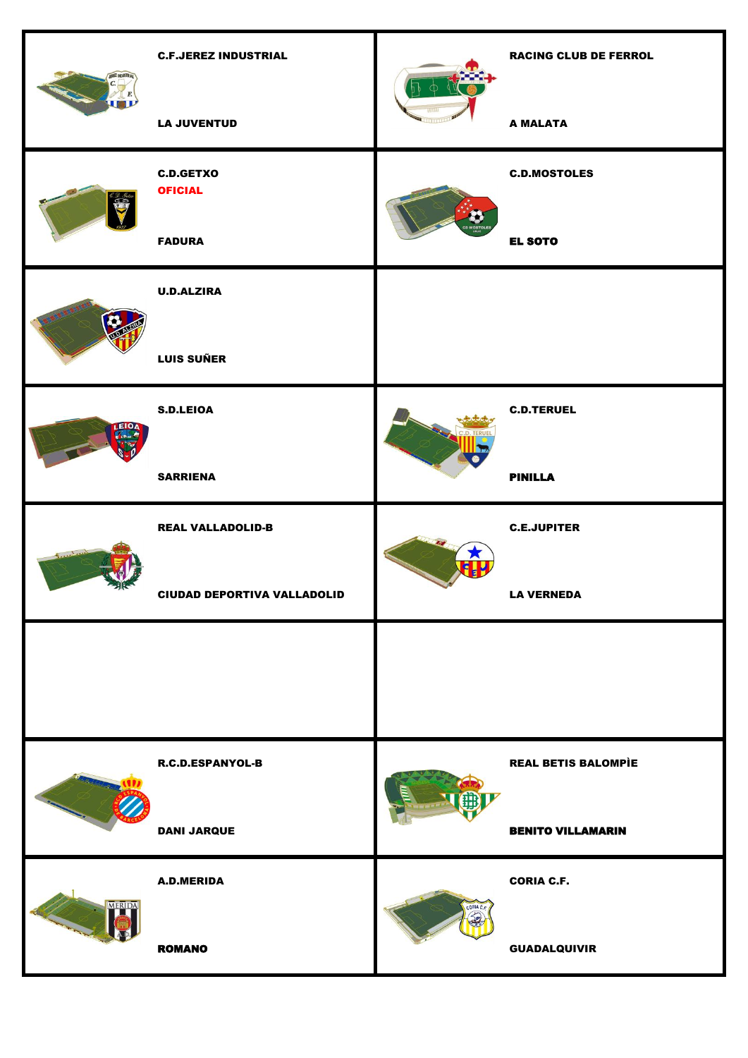|                  | <b>C.F.JEREZ INDUSTRIAL</b>        |           | <b>RACING CLUB DE FERROL</b> |
|------------------|------------------------------------|-----------|------------------------------|
|                  | <b>LA JUVENTUD</b>                 |           | <b>A MALATA</b>              |
| $rac{6.2.94}{5}$ | <b>C.D.GETXO</b><br><b>OFICIAL</b> |           | <b>C.D.MOSTOLES</b>          |
|                  | <b>FADURA</b>                      |           | <b>EL SOTO</b>               |
|                  | <b>U.D.ALZIRA</b>                  |           |                              |
|                  | <b>LUIS SUÑER</b>                  |           |                              |
| EIO              | <b>S.D.LEIOA</b>                   |           | <b>C.D.TERUEL</b>            |
|                  | <b>SARRIENA</b>                    |           | <b>PINILLA</b>               |
|                  | <b>REAL VALLADOLID-B</b>           |           | <b>C.E.JUPITER</b>           |
|                  | <b>CIUDAD DEPORTIVA VALLADOLID</b> |           | <b>LA VERNEDA</b>            |
|                  |                                    |           |                              |
|                  |                                    |           |                              |
|                  | <b>R.C.D.ESPANYOL-B</b>            |           | <b>REAL BETIS BALOMPIE</b>   |
|                  | <b>DANI JARQUE</b>                 |           | <b>BENITO VILLAMARIN</b>     |
| MERID            | A.D.MERIDA                         |           | <b>CORIA C.F.</b>            |
|                  |                                    | CORIA C.F |                              |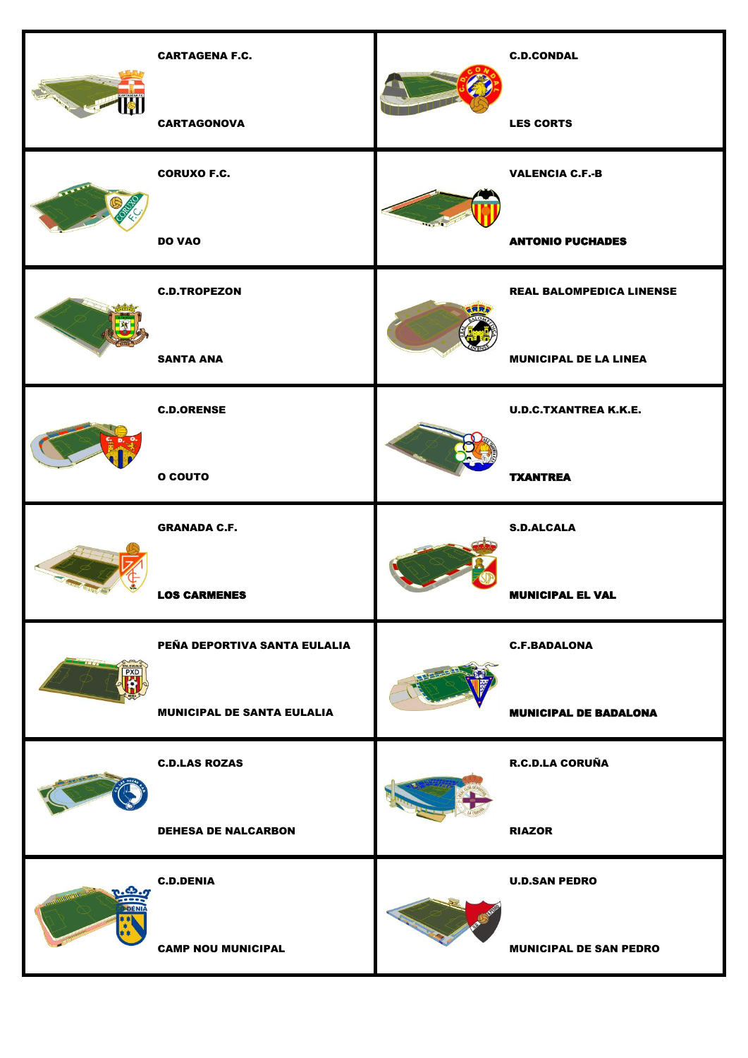|            | <b>CARTAGENA F.C.</b>             | <b>C.D.CONDAL</b>               |
|------------|-----------------------------------|---------------------------------|
|            | <b>CARTAGONOVA</b>                | <b>LES CORTS</b>                |
|            | <b>CORUXO F.C.</b>                | <b>VALENCIA C.F.-B</b>          |
|            | <b>DO VAO</b>                     | <b>ANTONIO PUCHADES</b>         |
|            | <b>C.D.TROPEZON</b>               | <b>REAL BALOMPEDICA LINENSE</b> |
|            | <b>SANTA ANA</b>                  | <b>MUNICIPAL DE LA LINEA</b>    |
|            | <b>C.D.ORENSE</b>                 | <b>U.D.C.TXANTREA K.K.E.</b>    |
|            | <b>O COUTO</b>                    | <b>TXANTREA</b>                 |
|            | <b>GRANADA C.F.</b>               | <b>S.D.ALCALA</b>               |
|            | <b>LOS CARMENES</b>               | <b>MUNICIPAL EL VAL</b>         |
| <b>PXD</b> | PEÑA DEPORTIVA SANTA EULALIA      | <b>C.F.BADALONA</b>             |
|            | <b>MUNICIPAL DE SANTA EULALIA</b> | <b>MUNICIPAL DE BADALONA</b>    |
|            | <b>C.D.LAS ROZAS</b>              | <b>R.C.D.LA CORUÑA</b>          |
|            | <b>DEHESA DE NALCARBON</b>        | <b>RIAZOR</b>                   |
|            | <b>C.D.DENIA</b>                  | <b>U.D.SAN PEDRO</b>            |
|            | <b>CAMP NOU MUNICIPAL</b>         | <b>MUNICIPAL DE SAN PEDRO</b>   |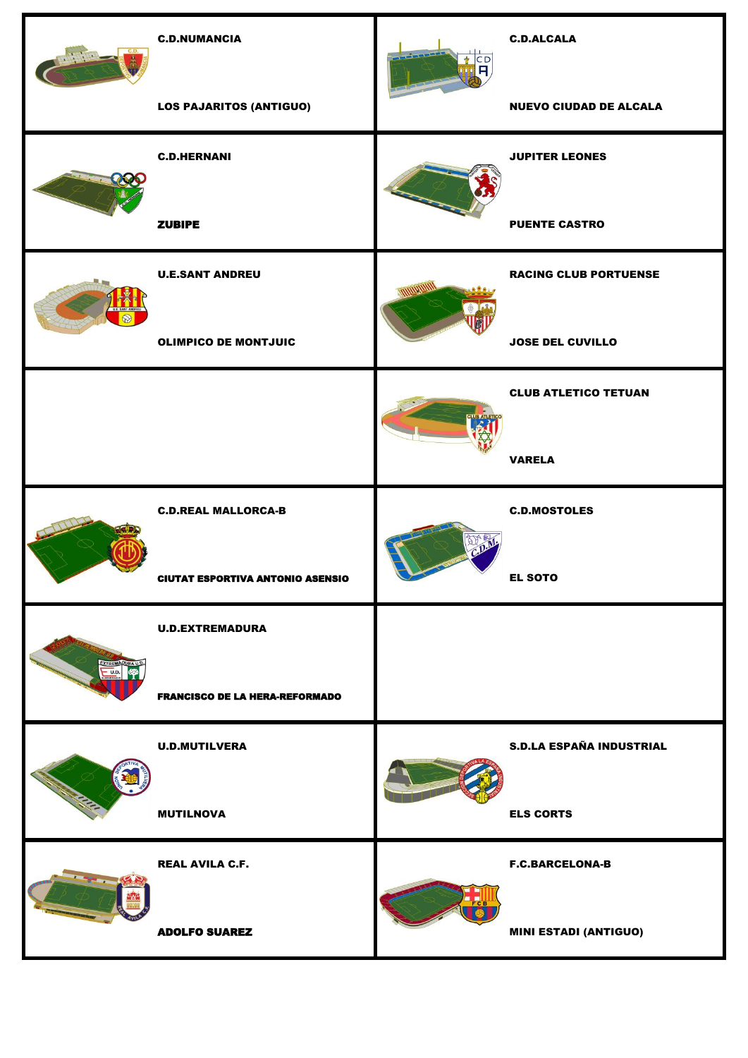|                              | <b>C.D.NUMANCIA</b>                     | <u> 1</u><br>$\overline{\mathsf{H}}$ | <b>C.D.ALCALA</b>               |
|------------------------------|-----------------------------------------|--------------------------------------|---------------------------------|
|                              | <b>LOS PAJARITOS (ANTIGUO)</b>          |                                      | <b>NUEVO CIUDAD DE ALCALA</b>   |
|                              | <b>C.D.HERNANI</b>                      |                                      | <b>JUPITER LEONES</b>           |
|                              | <b>ZUBIPE</b>                           |                                      | <b>PUENTE CASTRO</b>            |
|                              | <b>U.E.SANT ANDREU</b>                  |                                      | <b>RACING CLUB PORTUENSE</b>    |
|                              | <b>OLIMPICO DE MONTJUIC</b>             |                                      | <b>JOSE DEL CUVILLO</b>         |
|                              |                                         |                                      | <b>CLUB ATLETICO TETUAN</b>     |
|                              |                                         |                                      | <b>VARELA</b>                   |
|                              | <b>C.D.REAL MALLORCA-B</b>              | $\mathbb{D}^*_{\mathbb{D}}$          | <b>C.D.MOSTOLES</b>             |
|                              | <b>CIUTAT ESPORTIVA ANTONIO ASENSIO</b> |                                      | <b>EL SOTO</b>                  |
|                              | <b>U.D.EXTREMADURA</b>                  |                                      |                                 |
| EXTREMADURA U.D.<br>$=$ U.D. |                                         |                                      |                                 |
|                              | <b>FRANCISCO DE LA HERA-REFORMADO</b>   |                                      |                                 |
|                              | <b>U.D.MUTILVERA</b>                    |                                      | <b>S.D.LA ESPAÑA INDUSTRIAL</b> |
|                              | <b>MUTILNOVA</b>                        |                                      | <b>ELS CORTS</b>                |
|                              | <b>REAL AVILA C.F.</b>                  |                                      | <b>F.C.BARCELONA-B</b>          |